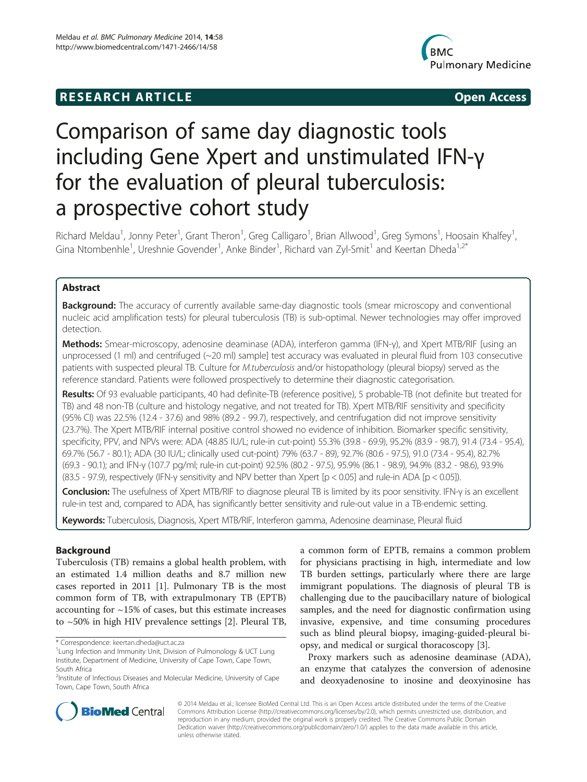# **RESEARCH ARTICLE Example 2014 CONSIDERING CONSIDERING CONSIDERING CONSIDERING CONSIDERING CONSIDERING CONSIDERING CONSIDERING CONSIDERING CONSIDERING CONSIDERING CONSIDERING CONSIDERING CONSIDERING CONSIDERING CONSIDE**



# Comparison of same day diagnostic tools including Gene Xpert and unstimulated IFN-γ for the evaluation of pleural tuberculosis: a prospective cohort study

Richard Meldau<sup>1</sup>, Jonny Peter<sup>1</sup>, Grant Theron<sup>1</sup>, Greg Calligaro<sup>1</sup>, Brian Allwood<sup>1</sup>, Greg Symons<sup>1</sup>, Hoosain Khalfey<sup>1</sup> , Gina Ntombenhle<sup>1</sup>, Ureshnie Govender<sup>1</sup>, Anke Binder<sup>1</sup>, Richard van Zyl-Smit<sup>1</sup> and Keertan Dheda<sup>1,2\*</sup>

# Abstract

Background: The accuracy of currently available same-day diagnostic tools (smear microscopy and conventional nucleic acid amplification tests) for pleural tuberculosis (TB) is sub-optimal. Newer technologies may offer improved detection.

Methods: Smear-microscopy, adenosine deaminase (ADA), interferon gamma (IFN-γ), and Xpert MTB/RIF [using an unprocessed (1 ml) and centrifuged (~20 ml) sample] test accuracy was evaluated in pleural fluid from 103 consecutive patients with suspected pleural TB. Culture for *M.tuberculosis* and/or histopathology (pleural biopsy) served as the reference standard. Patients were followed prospectively to determine their diagnostic categorisation.

Results: Of 93 evaluable participants, 40 had definite-TB (reference positive), 5 probable-TB (not definite but treated for TB) and 48 non-TB (culture and histology negative, and not treated for TB). Xpert MTB/RIF sensitivity and specificity (95% CI) was 22.5% (12.4 - 37.6) and 98% (89.2 - 99.7), respectively, and centrifugation did not improve sensitivity (23.7%). The Xpert MTB/RIF internal positive control showed no evidence of inhibition. Biomarker specific sensitivity, specificity, PPV, and NPVs were: ADA (48.85 IU/L; rule-in cut-point) 55.3% (39.8 - 69.9), 95.2% (83.9 - 98.7), 91.4 (73.4 - 95.4), 69.7% (56.7 - 80.1); ADA (30 IU/L; clinically used cut-point) 79% (63.7 - 89), 92.7% (80.6 - 97.5), 91.0 (73.4 - 95.4), 82.7% (69.3 - 90.1); and IFN-γ (107.7 pg/ml; rule-in cut-point) 92.5% (80.2 - 97.5), 95.9% (86.1 - 98.9), 94.9% (83.2 - 98.6), 93.9% (83.5 - 97.9), respectively (IFN-γ sensitivity and NPV better than Xpert [p < 0.05] and rule-in ADA [p < 0.05]).

**Conclusion:** The usefulness of Xpert MTB/RIF to diagnose pleural TB is limited by its poor sensitivity. IFN-γ is an excellent rule-in test and, compared to ADA, has significantly better sensitivity and rule-out value in a TB-endemic setting.

Keywords: Tuberculosis, Diagnosis, Xpert MTB/RIF, Interferon gamma, Adenosine deaminase, Pleural fluid

# Background

Tuberculosis (TB) remains a global health problem, with an estimated 1.4 million deaths and 8.7 million new cases reported in 2011 [\[1](#page-8-0)]. Pulmonary TB is the most common form of TB, with extrapulmonary TB (EPTB) accounting for ~15% of cases, but this estimate increases to ~50% in high HIV prevalence settings [\[2\]](#page-8-0). Pleural TB,

a common form of EPTB, remains a common problem for physicians practising in high, intermediate and low TB burden settings, particularly where there are large immigrant populations. The diagnosis of pleural TB is challenging due to the paucibacillary nature of biological samples, and the need for diagnostic confirmation using invasive, expensive, and time consuming procedures such as blind pleural biopsy, imaging-guided-pleural biopsy, and medical or surgical thoracoscopy [\[3](#page-8-0)].

Proxy markers such as adenosine deaminase (ADA), an enzyme that catalyzes the conversion of adenosine and deoxyadenosine to inosine and deoxyinosine has



© 2014 Meldau et al.; licensee BioMed Central Ltd. This is an Open Access article distributed under the terms of the Creative Commons Attribution License [\(http://creativecommons.org/licenses/by/2.0\)](http://creativecommons.org/licenses/by/2.0), which permits unrestricted use, distribution, and reproduction in any medium, provided the original work is properly credited. The Creative Commons Public Domain Dedication waiver [\(http://creativecommons.org/publicdomain/zero/1.0/](http://creativecommons.org/publicdomain/zero/1.0/)) applies to the data made available in this article, unless otherwise stated.

<sup>\*</sup> Correspondence: [keertan.dheda@uct.ac.za](mailto:keertan.dheda@uct.ac.za) <sup>1</sup>

<sup>&</sup>lt;sup>1</sup> Lung Infection and Immunity Unit, Division of Pulmonology & UCT Lung Institute, Department of Medicine, University of Cape Town, Cape Town, South Africa

<sup>&</sup>lt;sup>2</sup>Institute of Infectious Diseases and Molecular Medicine, University of Cape Town, Cape Town, South Africa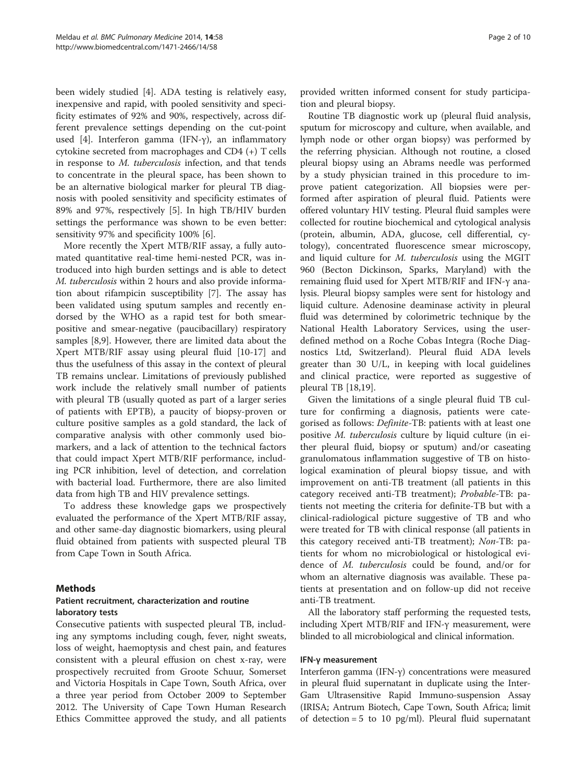been widely studied [\[4\]](#page-8-0). ADA testing is relatively easy, inexpensive and rapid, with pooled sensitivity and specificity estimates of 92% and 90%, respectively, across different prevalence settings depending on the cut-point used [\[4\]](#page-8-0). Interferon gamma (IFN-γ), an inflammatory cytokine secreted from macrophages and CD4 (+) T cells in response to M. tuberculosis infection, and that tends to concentrate in the pleural space, has been shown to be an alternative biological marker for pleural TB diagnosis with pooled sensitivity and specificity estimates of 89% and 97%, respectively [[5\]](#page-8-0). In high TB/HIV burden settings the performance was shown to be even better: sensitivity 97% and specificity 100% [[6](#page-8-0)].

More recently the Xpert MTB/RIF assay, a fully automated quantitative real-time hemi-nested PCR, was introduced into high burden settings and is able to detect M. tuberculosis within 2 hours and also provide information about rifampicin susceptibility [\[7](#page-8-0)]. The assay has been validated using sputum samples and recently endorsed by the WHO as a rapid test for both smearpositive and smear-negative (paucibacillary) respiratory samples [[8,9\]](#page-8-0). However, there are limited data about the Xpert MTB/RIF assay using pleural fluid [[10-17\]](#page-8-0) and thus the usefulness of this assay in the context of pleural TB remains unclear. Limitations of previously published work include the relatively small number of patients with pleural TB (usually quoted as part of a larger series of patients with EPTB), a paucity of biopsy-proven or culture positive samples as a gold standard, the lack of comparative analysis with other commonly used biomarkers, and a lack of attention to the technical factors that could impact Xpert MTB/RIF performance, including PCR inhibition, level of detection, and correlation with bacterial load. Furthermore, there are also limited data from high TB and HIV prevalence settings.

To address these knowledge gaps we prospectively evaluated the performance of the Xpert MTB/RIF assay, and other same-day diagnostic biomarkers, using pleural fluid obtained from patients with suspected pleural TB from Cape Town in South Africa.

# Methods

# Patient recruitment, characterization and routine laboratory tests

Consecutive patients with suspected pleural TB, including any symptoms including cough, fever, night sweats, loss of weight, haemoptysis and chest pain, and features consistent with a pleural effusion on chest x-ray, were prospectively recruited from Groote Schuur, Somerset and Victoria Hospitals in Cape Town, South Africa, over a three year period from October 2009 to September 2012. The University of Cape Town Human Research Ethics Committee approved the study, and all patients

provided written informed consent for study participation and pleural biopsy.

Routine TB diagnostic work up (pleural fluid analysis, sputum for microscopy and culture, when available, and lymph node or other organ biopsy) was performed by the referring physician. Although not routine, a closed pleural biopsy using an Abrams needle was performed by a study physician trained in this procedure to improve patient categorization. All biopsies were performed after aspiration of pleural fluid. Patients were offered voluntary HIV testing. Pleural fluid samples were collected for routine biochemical and cytological analysis (protein, albumin, ADA, glucose, cell differential, cytology), concentrated fluorescence smear microscopy, and liquid culture for M. tuberculosis using the MGIT 960 (Becton Dickinson, Sparks, Maryland) with the remaining fluid used for Xpert MTB/RIF and IFN-γ analysis. Pleural biopsy samples were sent for histology and liquid culture. Adenosine deaminase activity in pleural fluid was determined by colorimetric technique by the National Health Laboratory Services, using the userdefined method on a Roche Cobas Integra (Roche Diagnostics Ltd, Switzerland). Pleural fluid ADA levels greater than 30 U/L, in keeping with local guidelines and clinical practice, were reported as suggestive of pleural TB [\[18,19](#page-8-0)].

Given the limitations of a single pleural fluid TB culture for confirming a diagnosis, patients were categorised as follows: Definite-TB: patients with at least one positive M. tuberculosis culture by liquid culture (in either pleural fluid, biopsy or sputum) and/or caseating granulomatous inflammation suggestive of TB on histological examination of pleural biopsy tissue, and with improvement on anti-TB treatment (all patients in this category received anti-TB treatment); Probable-TB: patients not meeting the criteria for definite-TB but with a clinical-radiological picture suggestive of TB and who were treated for TB with clinical response (all patients in this category received anti-TB treatment); Non-TB: patients for whom no microbiological or histological evidence of M. tuberculosis could be found, and/or for whom an alternative diagnosis was available. These patients at presentation and on follow-up did not receive anti-TB treatment.

All the laboratory staff performing the requested tests, including Xpert MTB/RIF and IFN-γ measurement, were blinded to all microbiological and clinical information.

#### IFN-γ measurement

Interferon gamma (IFN-γ) concentrations were measured in pleural fluid supernatant in duplicate using the Inter-Gam Ultrasensitive Rapid Immuno-suspension Assay (IRISA; Antrum Biotech, Cape Town, South Africa; limit of detection = 5 to 10 pg/ml). Pleural fluid supernatant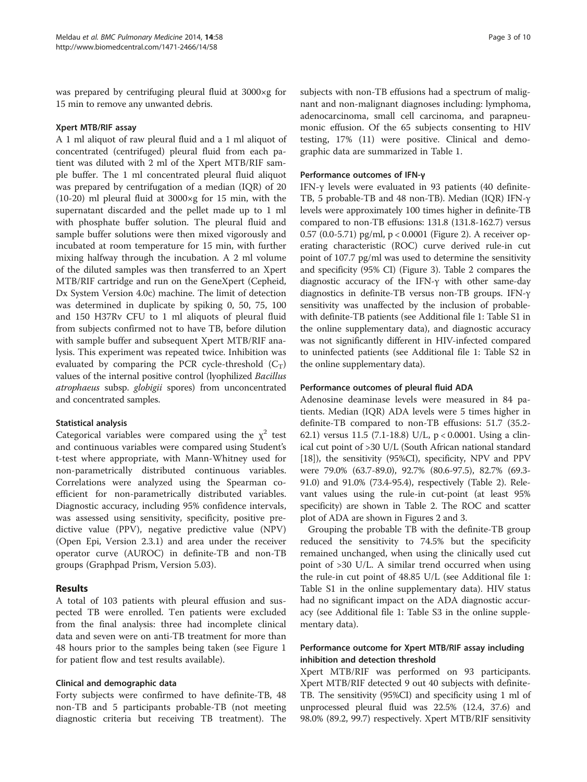was prepared by centrifuging pleural fluid at 3000×g for 15 min to remove any unwanted debris.

#### Xpert MTB/RIF assay

A 1 ml aliquot of raw pleural fluid and a 1 ml aliquot of concentrated (centrifuged) pleural fluid from each patient was diluted with 2 ml of the Xpert MTB/RIF sample buffer. The 1 ml concentrated pleural fluid aliquot was prepared by centrifugation of a median (IQR) of 20 (10-20) ml pleural fluid at 3000×g for 15 min, with the supernatant discarded and the pellet made up to 1 ml with phosphate buffer solution. The pleural fluid and sample buffer solutions were then mixed vigorously and incubated at room temperature for 15 min, with further mixing halfway through the incubation. A 2 ml volume of the diluted samples was then transferred to an Xpert MTB/RIF cartridge and run on the GeneXpert (Cepheid, Dx System Version 4.0c) machine. The limit of detection was determined in duplicate by spiking 0, 50, 75, 100 and 150 H37Rv CFU to 1 ml aliquots of pleural fluid from subjects confirmed not to have TB, before dilution with sample buffer and subsequent Xpert MTB/RIF analysis. This experiment was repeated twice. Inhibition was evaluated by comparing the PCR cycle-threshold  $(C_T)$ values of the internal positive control (lyophilized Bacillus atrophaeus subsp. globigii spores) from unconcentrated and concentrated samples.

# Statistical analysis

Categorical variables were compared using the  $\chi^2$  test and continuous variables were compared using Student's t-test where appropriate, with Mann-Whitney used for non-parametrically distributed continuous variables. Correlations were analyzed using the Spearman coefficient for non-parametrically distributed variables. Diagnostic accuracy, including 95% confidence intervals, was assessed using sensitivity, specificity, positive predictive value (PPV), negative predictive value (NPV) (Open Epi, Version 2.3.1) and area under the receiver operator curve (AUROC) in definite-TB and non-TB groups (Graphpad Prism, Version 5.03).

# Results

A total of 103 patients with pleural effusion and suspected TB were enrolled. Ten patients were excluded from the final analysis: three had incomplete clinical data and seven were on anti-TB treatment for more than 48 hours prior to the samples being taken (see Figure [1](#page-3-0) for patient flow and test results available).

#### Clinical and demographic data

Forty subjects were confirmed to have definite-TB, 48 non-TB and 5 participants probable-TB (not meeting diagnostic criteria but receiving TB treatment). The

subjects with non-TB effusions had a spectrum of malignant and non-malignant diagnoses including: lymphoma, adenocarcinoma, small cell carcinoma, and parapneumonic effusion. Of the 65 subjects consenting to HIV testing, 17% (11) were positive. Clinical and demographic data are summarized in Table [1](#page-4-0).

#### Performance outcomes of IFN-γ

IFN-γ levels were evaluated in 93 patients (40 definite-TB, 5 probable-TB and 48 non-TB). Median (IQR) IFN-γ levels were approximately 100 times higher in definite-TB compared to non-TB effusions: 131.8 (131.8-162.7) versus 0.57 (0.0-5.71) pg/ml, p < 0.0001 (Figure [2\)](#page-5-0). A receiver operating characteristic (ROC) curve derived rule-in cut point of 107.7 pg/ml was used to determine the sensitivity and specificity (95% CI) (Figure [3\)](#page-5-0). Table [2](#page-6-0) compares the diagnostic accuracy of the IFN-γ with other same-day diagnostics in definite-TB versus non-TB groups. IFN-γ sensitivity was unaffected by the inclusion of probablewith definite-TB patients (see Additional file [1](#page-8-0): Table S1 in the online supplementary data), and diagnostic accuracy was not significantly different in HIV-infected compared to uninfected patients (see Additional file [1](#page-8-0): Table S2 in the online supplementary data).

#### Performance outcomes of pleural fluid ADA

Adenosine deaminase levels were measured in 84 patients. Median (IQR) ADA levels were 5 times higher in definite-TB compared to non-TB effusions: 51.7 (35.2- 62.1) versus  $11.5$  (7.1-18.8) U/L,  $p < 0.0001$ . Using a clinical cut point of >30 U/L (South African national standard [[18](#page-8-0)]), the sensitivity (95%CI), specificity, NPV and PPV were 79.0% (63.7-89.0), 92.7% (80.6-97.5), 82.7% (69.3- 91.0) and 91.0% (73.4-95.4), respectively (Table [2\)](#page-6-0). Relevant values using the rule-in cut-point (at least 95% specificity) are shown in Table [2.](#page-6-0) The ROC and scatter plot of ADA are shown in Figures [2](#page-5-0) and [3](#page-5-0).

Grouping the probable TB with the definite-TB group reduced the sensitivity to 74.5% but the specificity remained unchanged, when using the clinically used cut point of >30 U/L. A similar trend occurred when using the rule-in cut point of 48.85 U/L (see Additional file [1](#page-8-0): Table S1 in the online supplementary data). HIV status had no significant impact on the ADA diagnostic accuracy (see Additional file [1:](#page-8-0) Table S3 in the online supplementary data).

#### Performance outcome for Xpert MTB/RIF assay including inhibition and detection threshold

Xpert MTB/RIF was performed on 93 participants. Xpert MTB/RIF detected 9 out 40 subjects with definite-TB. The sensitivity (95%CI) and specificity using 1 ml of unprocessed pleural fluid was 22.5% (12.4, 37.6) and 98.0% (89.2, 99.7) respectively. Xpert MTB/RIF sensitivity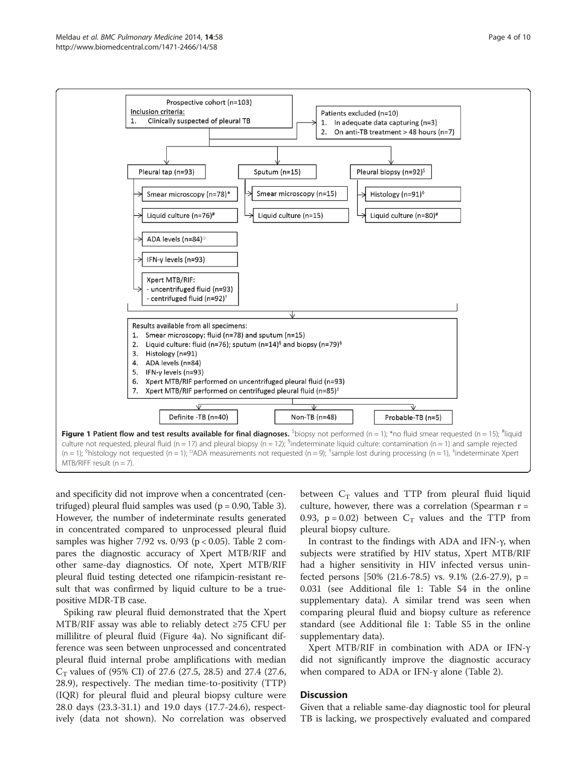<span id="page-3-0"></span>

and specificity did not improve when a concentrated (centrifuged) pleural fluid samples was used  $(p = 0.90,$  Table [3](#page-7-0)). However, the number of indeterminate results generated in concentrated compared to unprocessed pleural fluid samples was higher  $7/92$  vs.  $0/93$  ( $p < 0.05$ ). Table [2](#page-6-0) compares the diagnostic accuracy of Xpert MTB/RIF and other same-day diagnostics. Of note, Xpert MTB/RIF pleural fluid testing detected one rifampicin-resistant result that was confirmed by liquid culture to be a truepositive MDR-TB case.

Spiking raw pleural fluid demonstrated that the Xpert MTB/RIF assay was able to reliably detect ≥75 CFU per millilitre of pleural fluid (Figure [4](#page-7-0)a). No significant difference was seen between unprocessed and concentrated pleural fluid internal probe amplifications with median  $C_T$  values of (95% CI) of 27.6 (27.5, 28.5) and 27.4 (27.6, 28.9), respectively. The median time-to-positivity (TTP) (IQR) for pleural fluid and pleural biopsy culture were 28.0 days (23.3-31.1) and 19.0 days (17.7-24.6), respectively (data not shown). No correlation was observed between  $C_T$  values and TTP from pleural fluid liquid culture, however, there was a correlation (Spearman  $r =$ 0.93,  $p = 0.02$ ) between  $C_T$  values and the TTP from pleural biopsy culture.

In contrast to the findings with ADA and IFN-γ, when subjects were stratified by HIV status, Xpert MTB/RIF had a higher sensitivity in HIV infected versus uninfected persons [50% (21.6-78.5) vs. 9.1% (2.6-27.9), p = 0.031 (see Additional file [1](#page-8-0): Table S4 in the online supplementary data). A similar trend was seen when comparing pleural fluid and biopsy culture as reference standard (see Additional file [1:](#page-8-0) Table S5 in the online supplementary data).

Xpert MTB/RIF in combination with ADA or IFN-γ did not significantly improve the diagnostic accuracy when compared to ADA or IFN-γ alone (Table [2](#page-6-0)).

#### Discussion

Given that a reliable same-day diagnostic tool for pleural TB is lacking, we prospectively evaluated and compared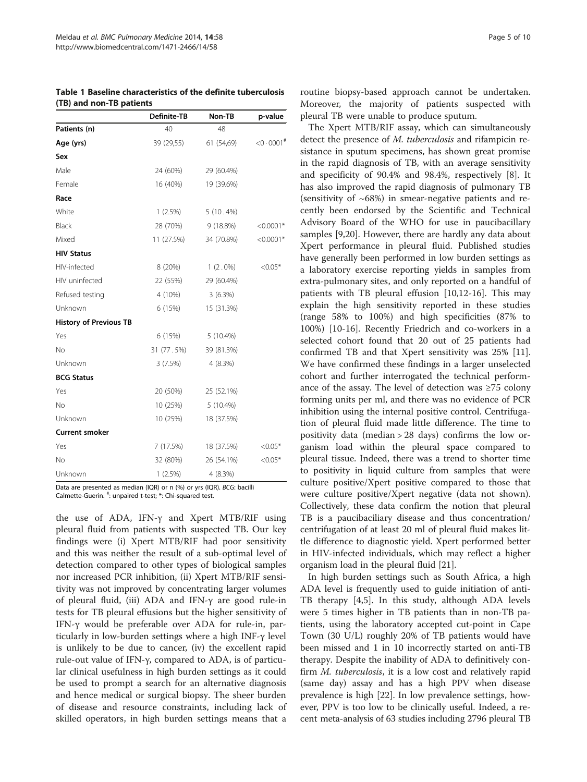<span id="page-4-0"></span>

|                          | Table 1 Baseline characteristics of the definite tuberculosis |  |  |
|--------------------------|---------------------------------------------------------------|--|--|
| (TB) and non-TB patients |                                                               |  |  |

|                               | Definite-TB | Non-TB      | p-value                         |
|-------------------------------|-------------|-------------|---------------------------------|
| Patients (n)                  | 40          | 48          |                                 |
| Age (yrs)                     | 39 (29,55)  | 61 (54,69)  | $<$ 0 $\cdot$ 0001 <sup>#</sup> |
| Sex                           |             |             |                                 |
| Male                          | 24 (60%)    | 29 (60.4%)  |                                 |
| Female                        | 16 (40%)    | 19 (39.6%)  |                                 |
| Race                          |             |             |                                 |
| White                         | $1(2.5\%)$  | $5(10.4\%)$ |                                 |
| Black                         | 28 (70%)    | 9(18.8%)    | $< 0.0001*$                     |
| Mixed                         | 11 (27.5%)  | 34 (70.8%)  | $< 0.0001*$                     |
| <b>HIV Status</b>             |             |             |                                 |
| HIV-infected                  | 8 (20%)     | $1(2.0\%)$  | $< 0.05*$                       |
| HIV uninfected                | 22 (55%)    | 29 (60.4%)  |                                 |
| Refused testing               | 4 (10%)     | $3(6.3\%)$  |                                 |
| Unknown                       | 6(15%)      | 15 (31.3%)  |                                 |
| <b>History of Previous TB</b> |             |             |                                 |
| Yes                           | 6 (15%)     | $5(10.4\%)$ |                                 |
| No                            | 31 (77.5%)  | 39 (81.3%)  |                                 |
| Unknown                       | 3(7.5%)     | 4 (8.3%)    |                                 |
| <b>BCG Status</b>             |             |             |                                 |
| Yes                           | 20 (50%)    | 25 (52.1%)  |                                 |
| No                            | 10 (25%)    | $5(10.4\%)$ |                                 |
| Unknown                       | 10 (25%)    | 18 (37.5%)  |                                 |
| <b>Current smoker</b>         |             |             |                                 |
| Yes                           | 7 (17.5%)   | 18 (37.5%)  | $< 0.05*$                       |
| No                            | 32 (80%)    | 26 (54.1%)  | $< 0.05*$                       |
| Unknown                       | $1(2.5\%)$  | 4(8.3%)     |                                 |

Data are presented as median (IQR) or n (%) or yrs (IQR). BCG: bacilli Calmette-Guerin. <sup>#</sup>: unpaired t-test; \*: Chi-squared test.

the use of ADA, IFN-γ and Xpert MTB/RIF using pleural fluid from patients with suspected TB. Our key findings were (i) Xpert MTB/RIF had poor sensitivity and this was neither the result of a sub-optimal level of detection compared to other types of biological samples nor increased PCR inhibition, (ii) Xpert MTB/RIF sensitivity was not improved by concentrating larger volumes of pleural fluid, (iii) ADA and IFN-γ are good rule-in tests for TB pleural effusions but the higher sensitivity of IFN-γ would be preferable over ADA for rule-in, particularly in low-burden settings where a high INF-γ level is unlikely to be due to cancer, (iv) the excellent rapid rule-out value of IFN-γ, compared to ADA, is of particular clinical usefulness in high burden settings as it could be used to prompt a search for an alternative diagnosis and hence medical or surgical biopsy. The sheer burden of disease and resource constraints, including lack of skilled operators, in high burden settings means that a routine biopsy-based approach cannot be undertaken. Moreover, the majority of patients suspected with pleural TB were unable to produce sputum.

The Xpert MTB/RIF assay, which can simultaneously detect the presence of M. tuberculosis and rifampicin resistance in sputum specimens, has shown great promise in the rapid diagnosis of TB, with an average sensitivity and specificity of 90.4% and 98.4%, respectively [\[8\]](#page-8-0). It has also improved the rapid diagnosis of pulmonary TB (sensitivity of  $~68\%$ ) in smear-negative patients and recently been endorsed by the Scientific and Technical Advisory Board of the WHO for use in paucibacillary samples [\[9,20](#page-8-0)]. However, there are hardly any data about Xpert performance in pleural fluid. Published studies have generally been performed in low burden settings as a laboratory exercise reporting yields in samples from extra-pulmonary sites, and only reported on a handful of patients with TB pleural effusion [[10](#page-8-0),[12](#page-8-0)-[16\]](#page-8-0). This may explain the high sensitivity reported in these studies (range 58% to 100%) and high specificities (87% to 100%) [\[10](#page-8-0)-[16\]](#page-8-0). Recently Friedrich and co-workers in a selected cohort found that 20 out of 25 patients had confirmed TB and that Xpert sensitivity was 25% [\[11](#page-8-0)]. We have confirmed these findings in a larger unselected cohort and further interrogated the technical performance of the assay. The level of detection was ≥75 colony forming units per ml, and there was no evidence of PCR inhibition using the internal positive control. Centrifugation of pleural fluid made little difference. The time to positivity data (median > 28 days) confirms the low organism load within the pleural space compared to pleural tissue. Indeed, there was a trend to shorter time to positivity in liquid culture from samples that were culture positive/Xpert positive compared to those that were culture positive/Xpert negative (data not shown). Collectively, these data confirm the notion that pleural TB is a paucibaciliary disease and thus concentration/ centrifugation of at least 20 ml of pleural fluid makes little difference to diagnostic yield. Xpert performed better in HIV-infected individuals, which may reflect a higher organism load in the pleural fluid [\[21\]](#page-8-0).

In high burden settings such as South Africa, a high ADA level is frequently used to guide initiation of anti-TB therapy [[4,5\]](#page-8-0). In this study, although ADA levels were 5 times higher in TB patients than in non-TB patients, using the laboratory accepted cut-point in Cape Town (30 U/L) roughly 20% of TB patients would have been missed and 1 in 10 incorrectly started on anti-TB therapy. Despite the inability of ADA to definitively confirm *M. tuberculosis*, it is a low cost and relatively rapid (same day) assay and has a high PPV when disease prevalence is high [[22\]](#page-8-0). In low prevalence settings, however, PPV is too low to be clinically useful. Indeed, a recent meta-analysis of 63 studies including 2796 pleural TB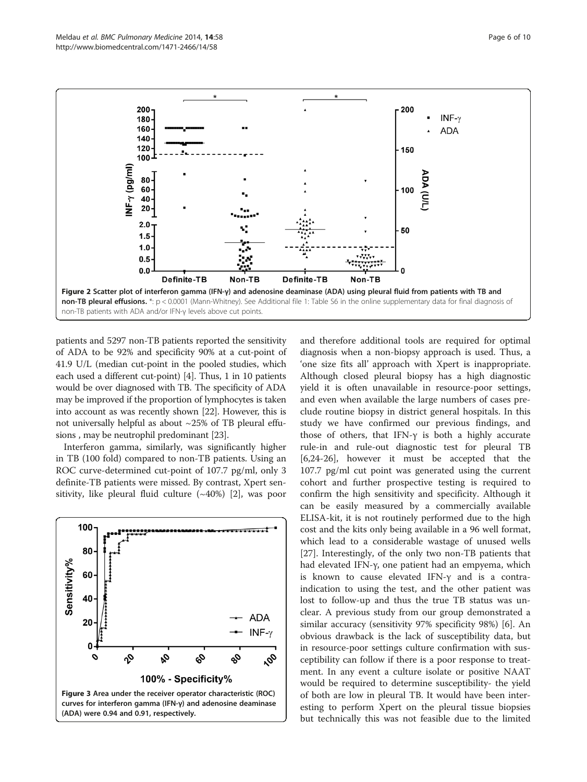<span id="page-5-0"></span>

patients and 5297 non-TB patients reported the sensitivity of ADA to be 92% and specificity 90% at a cut-point of 41.9 U/L (median cut-point in the pooled studies, which each used a different cut-point) [\[4](#page-8-0)]. Thus, 1 in 10 patients would be over diagnosed with TB. The specificity of ADA may be improved if the proportion of lymphocytes is taken into account as was recently shown [[22](#page-8-0)]. However, this is not universally helpful as about ~25% of TB pleural effusions , may be neutrophil predominant [\[23](#page-8-0)].

Interferon gamma, similarly, was significantly higher in TB (100 fold) compared to non-TB patients. Using an ROC curve-determined cut-point of 107.7 pg/ml, only 3 definite-TB patients were missed. By contrast, Xpert sensitivity, like pleural fluid culture  $(-40%)$  [\[2](#page-8-0)], was poor



and therefore additional tools are required for optimal diagnosis when a non-biopsy approach is used. Thus, a 'one size fits all' approach with Xpert is inappropriate. Although closed pleural biopsy has a high diagnostic yield it is often unavailable in resource-poor settings, and even when available the large numbers of cases preclude routine biopsy in district general hospitals. In this study we have confirmed our previous findings, and those of others, that IFN- $\gamma$  is both a highly accurate rule-in and rule-out diagnostic test for pleural TB [[6,](#page-8-0)[24-26](#page-9-0)], however it must be accepted that the 107.7 pg/ml cut point was generated using the current cohort and further prospective testing is required to confirm the high sensitivity and specificity. Although it can be easily measured by a commercially available ELISA-kit, it is not routinely performed due to the high cost and the kits only being available in a 96 well format, which lead to a considerable wastage of unused wells [[27\]](#page-9-0). Interestingly, of the only two non-TB patients that had elevated IFN-γ, one patient had an empyema, which is known to cause elevated IFN-γ and is a contraindication to using the test, and the other patient was lost to follow-up and thus the true TB status was unclear. A previous study from our group demonstrated a similar accuracy (sensitivity 97% specificity 98%) [\[6](#page-8-0)]. An obvious drawback is the lack of susceptibility data, but in resource-poor settings culture confirmation with susceptibility can follow if there is a poor response to treatment. In any event a culture isolate or positive NAAT would be required to determine susceptibility- the yield of both are low in pleural TB. It would have been interesting to perform Xpert on the pleural tissue biopsies but technically this was not feasible due to the limited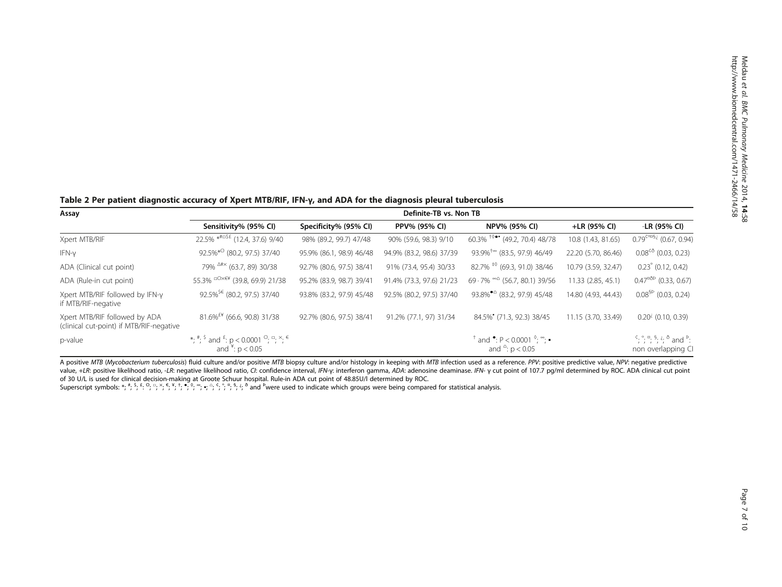<span id="page-6-0"></span>Table 2 Per patient diagnostic accuracy of Xpert MTB/RIF, IFN-γ, and ADA for the diagnosis pleural tuberculosis

| Assay                                                                     | Definite-TB vs. Non TB                                                                                                                                                    |                          |                          |                                                                                  |                     |                                                                                               |  |
|---------------------------------------------------------------------------|---------------------------------------------------------------------------------------------------------------------------------------------------------------------------|--------------------------|--------------------------|----------------------------------------------------------------------------------|---------------------|-----------------------------------------------------------------------------------------------|--|
|                                                                           | Sensitivity% (95% CI)                                                                                                                                                     | Specificity% (95% CI)    | PPV% (95% CI)            | NPV% (95% CI)                                                                    | +LR (95% CI)        | -LR (95% CI)                                                                                  |  |
| Xpert MTB/RIF                                                             | 22.5% ***** (12.4, 37.6) 9/40                                                                                                                                             | 98% (89.2, 99.7) 47/48   | 90% (59.6, 98.3) 9/10    | $60.3\%$ <sup><math>\uparrow</math> (49.2, 70.4) 48/78</sup>                     | 10.8 (1.43, 81.65)  | $0.79^{\text{Cov}_5}$ (0.67, 0.94)                                                            |  |
| $IFN-\gamma$                                                              | 92.5%* <sup>O</sup> (80.2, 97.5) 37/40                                                                                                                                    | 95.9% (86.1, 98.9) 46/48 | 94.9% (83.2, 98.6) 37/39 | $93.9\%$ <sup>†</sup> (83.5, 97.9) 46/49                                         | 22.20 (5.70, 86.46) | $0.08^{\text{c} \delta}$ (0.03, 0.23)                                                         |  |
| ADA (Clinical cut point)                                                  | 79% <sup><math>\Delta</math>#×</sup> (63.7, 89) 30/38                                                                                                                     | 92.7% (80.6, 97.5) 38/41 | 91% (73.4, 95.4) 30/33   | 82.7% <sup>‡0</sup> (69.3, 91.0) 38/46                                           | 10.79 (3.59, 32.47) | $0.23^{\circ}$ (0.12, 0.42)                                                                   |  |
| ADA (Rule-in cut point)                                                   | 55.3% <sup>□O×€¥</sup> (39.8, 69.9) 21/38                                                                                                                                 | 95.2% (83.9, 98.7) 39/41 | 91.4% (73.3, 97.6) 21/23 | 69 · 7% $^{\infty$ (56.7, 80.1) 39/56                                            | 11.33 (2.85, 45.1)  | $0.47^{\text{m\&P}}$ (0.33, 0.67)                                                             |  |
| Xpert MTB/RIF followed by IFN-y<br>if MTB/RIF-negative                    | 92.5% <sup>5€</sup> (80.2, 97.5) 37/40                                                                                                                                    | 93.8% (83.2, 97.9) 45/48 | 92.5% (80.2, 97.5) 37/40 | 93.8% <sup>•△</sup> (83.2, 97.9) 45/48                                           | 14.80 (4.93, 44.43) | $0.08$ <sup>§b</sup> (0.03, 0.24)                                                             |  |
| Xpert MTB/RIF followed by ADA<br>(clinical cut-point) if MTB/RIF-negative | $81.6\%$ <sup>£¥</sup> (66.6, 90.8) 31/38                                                                                                                                 | 92.7% (80.6, 97.5) 38/41 | 91.2% (77.1, 97) 31/34   | 84.5% (71.3, 92.3) 38/45                                                         | 11.15 (3.70, 33.49) | $0.20^{2}$ (0.10, 0.39)                                                                       |  |
| p-value                                                                   | *, $\overset{*}{\cdot}$ , $\overset{s}{\cdot}$ and $\overset{f}{\cdot}$ p < 0.0001 <sup>O</sup> ; □, $\times$ , $\overset{f}{\cdot}$<br>and $\overset{s}{\cdot}$ p < 0.05 |                          |                          | and $\degree: P < 0.0001 \degree; \degree; \degree$<br>and $^{\circ}$ : p < 0.05 |                     | $\zeta$ , $\zeta$ , $\zeta$ , $\zeta$ , $\zeta$ , $\zeta$ and $\zeta$ .<br>non overlapping CI |  |

A positive MTB (Mycobacterium tuberculosis) fluid culture and/or positive MTB biopsy culture and/or histology in keeping with MTB infection used as a reference. PPV: positive predictive value, NPV: negative predictive value, +LR: positive likelihood ratio, -LR: negative likelihood ratio, CI: confidence interval, IFN-γ: interferon gamma, ADA: adenosine deaminase. IFN- γ cut point of 107.7 pg/ml determined by ROC. ADA clinical cut point of 30 U/L is used for clinical decision-making at Groote Schuur hospital. Rule-in ADA cut point of 48.85U/l determined by ROC.

Superscript symbols: \*; #; \$; {: 0; □; ×; €; \*; +; •; 0; ∞; +; △; \$; "; 5; 4; 8 and Pwere used to indicate which groups were being compared for statistical analysis.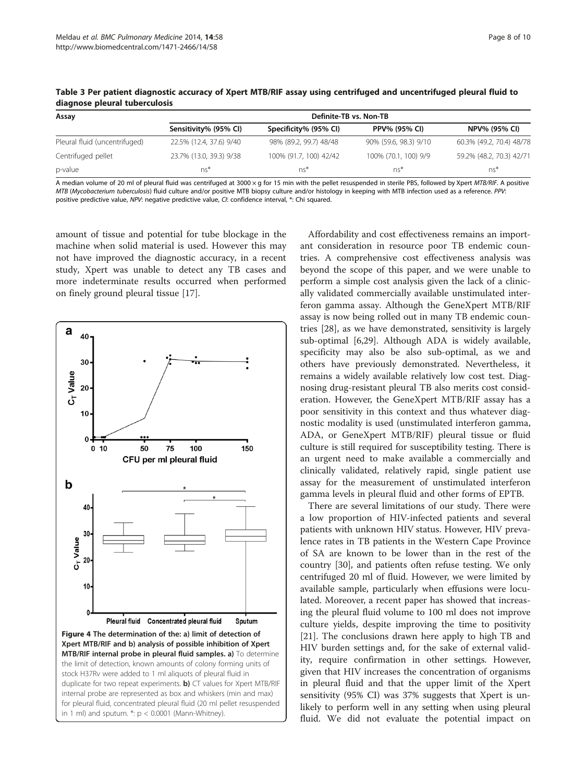| Assay                         | Definite-TB vs. Non-TB  |                        |                       |                          |  |  |
|-------------------------------|-------------------------|------------------------|-----------------------|--------------------------|--|--|
|                               | Sensitivity% (95% CI)   | Specificity% (95% CI)  | PPV% (95% CI)         | <b>NPV% (95% CI)</b>     |  |  |
| Pleural fluid (uncentrifuged) | 22.5% (12.4, 37.6) 9/40 | 98% (89.2, 99.7) 48/48 | 90% (59.6, 98.3) 9/10 | 60.3% (49.2, 70.4) 48/78 |  |  |
| Centrifuged pellet            | 23.7% (13.0, 39.3) 9/38 | 100% (91.7, 100) 42/42 | 100% (70.1, 100) 9/9  | 59.2% (48.2, 70.3) 42/71 |  |  |
| p-value                       | ns*                     | ns*                    | $n\varsigma^*$        | ns*                      |  |  |

<span id="page-7-0"></span>Table 3 Per patient diagnostic accuracy of Xpert MTB/RIF assay using centrifuged and uncentrifuged pleural fluid to diagnose pleural tuberculosis

A median volume of 20 ml of pleural fluid was centrifuged at 3000 × q for 15 min with the pellet resuspended in sterile PBS, followed by Xpert MTB/RIF. A positive MTB (Mycobacterium tuberculosis) fluid culture and/or positive MTB biopsy culture and/or histology in keeping with MTB infection used as a reference. PPV: positive predictive value, NPV: negative predictive value, CI: confidence interval, \*: Chi squared.

amount of tissue and potential for tube blockage in the machine when solid material is used. However this may not have improved the diagnostic accuracy, in a recent study, Xpert was unable to detect any TB cases and more indeterminate results occurred when performed on finely ground pleural tissue [[17\]](#page-8-0).



Affordability and cost effectiveness remains an important consideration in resource poor TB endemic countries. A comprehensive cost effectiveness analysis was beyond the scope of this paper, and we were unable to perform a simple cost analysis given the lack of a clinically validated commercially available unstimulated interferon gamma assay. Although the GeneXpert MTB/RIF assay is now being rolled out in many TB endemic countries [\[28\]](#page-9-0), as we have demonstrated, sensitivity is largely sub-optimal [\[6,](#page-8-0)[29\]](#page-9-0). Although ADA is widely available, specificity may also be also sub-optimal, as we and others have previously demonstrated. Nevertheless, it remains a widely available relatively low cost test. Diagnosing drug-resistant pleural TB also merits cost consideration. However, the GeneXpert MTB/RIF assay has a poor sensitivity in this context and thus whatever diagnostic modality is used (unstimulated interferon gamma, ADA, or GeneXpert MTB/RIF) pleural tissue or fluid culture is still required for susceptibility testing. There is an urgent need to make available a commercially and clinically validated, relatively rapid, single patient use assay for the measurement of unstimulated interferon gamma levels in pleural fluid and other forms of EPTB.

There are several limitations of our study. There were a low proportion of HIV-infected patients and several patients with unknown HIV status. However, HIV prevalence rates in TB patients in the Western Cape Province of SA are known to be lower than in the rest of the country [\[30\]](#page-9-0), and patients often refuse testing. We only centrifuged 20 ml of fluid. However, we were limited by available sample, particularly when effusions were loculated. Moreover, a recent paper has showed that increasing the pleural fluid volume to 100 ml does not improve culture yields, despite improving the time to positivity [[21\]](#page-8-0). The conclusions drawn here apply to high TB and HIV burden settings and, for the sake of external validity, require confirmation in other settings. However, given that HIV increases the concentration of organisms in pleural fluid and that the upper limit of the Xpert sensitivity (95% CI) was 37% suggests that Xpert is unlikely to perform well in any setting when using pleural fluid. We did not evaluate the potential impact on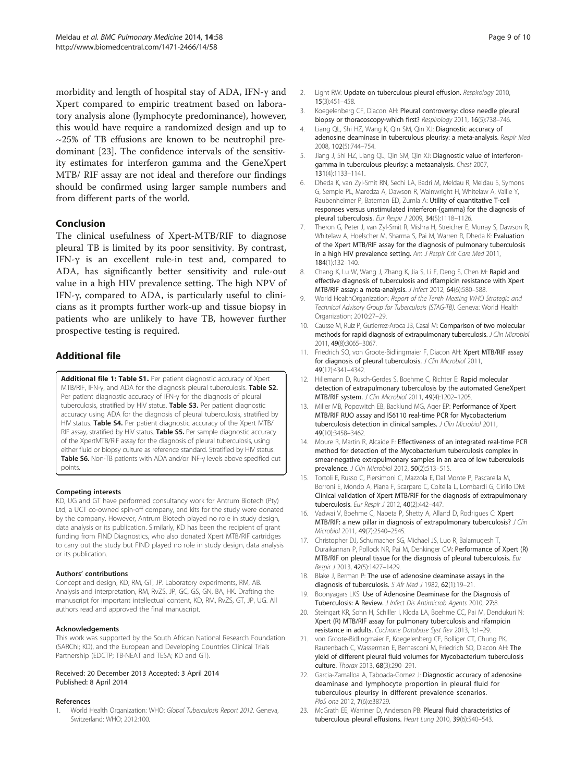<span id="page-8-0"></span>morbidity and length of hospital stay of ADA, IFN-γ and Xpert compared to empiric treatment based on laboratory analysis alone (lymphocyte predominance), however, this would have require a randomized design and up to  $\sim$ 25% of TB effusions are known to be neutrophil predominant [23]. The confidence intervals of the sensitivity estimates for interferon gamma and the GeneXpert MTB/ RIF assay are not ideal and therefore our findings should be confirmed using larger sample numbers and from different parts of the world.

# Conclusion

The clinical usefulness of Xpert-MTB/RIF to diagnose pleural TB is limited by its poor sensitivity. By contrast, IFN-γ is an excellent rule-in test and, compared to ADA, has significantly better sensitivity and rule-out value in a high HIV prevalence setting. The high NPV of IFN-γ, compared to ADA, is particularly useful to clinicians as it prompts further work-up and tissue biopsy in patients who are unlikely to have TB, however further prospective testing is required.

# Additional file

[Additional file 1: Table S1.](http://www.biomedcentral.com/content/supplementary/1471-2466-14-58-S1.docx) Per patient diagnostic accuracy of Xpert MTB/RIF, IFN-γ, and ADA for the diagnosis pleural tuberculosis. Table S2. Per patient diagnostic accuracy of IFN-γ for the diagnosis of pleural tuberculosis, stratified by HIV status. Table S3. Per patient diagnostic accuracy using ADA for the diagnosis of pleural tuberculosis, stratified by HIV status. Table S4. Per patient diagnostic accuracy of the Xpert MTB/ RIF assay, stratified by HIV status. Table S5. Per sample diagnostic accuracy of the XpertMTB/RIF assay for the diagnosis of pleural tuberculosis, using either fluid or biopsy culture as reference standard. Stratified by HIV status. Table S6. Non-TB patients with ADA and/or INF-γ levels above specified cut points.

#### Competing interests

KD, UG and GT have performed consultancy work for Antrum Biotech (Pty) Ltd, a UCT co-owned spin-off company, and kits for the study were donated by the company. However, Antrum Biotech played no role in study design, data analysis or its publication. Similarly, KD has been the recipient of grant funding from FIND Diagnostics, who also donated Xpert MTB/RIF cartridges to carry out the study but FIND played no role in study design, data analysis or its publication.

#### Authors' contributions

Concept and design, KD, RM, GT, JP. Laboratory experiments, RM, AB. Analysis and interpretation, RM, RvZS, JP, GC, GS, GN, BA, HK. Drafting the manuscript for important intellectual content, KD, RM, RvZS, GT, JP, UG. All authors read and approved the final manuscript.

#### Acknowledgements

This work was supported by the South African National Research Foundation (SARChI; KD), and the European and Developing Countries Clinical Trials Partnership (EDCTP; TB-NEAT and TESA; KD and GT).

#### Received: 20 December 2013 Accepted: 3 April 2014 Published: 8 April 2014

#### References

1. World Health Organization: WHO: Global Tuberculosis Report 2012. Geneva, Switzerland: WHO; 2012:100.

- 2. Light RW: Update on tuberculous pleural effusion. Respirology 2010, 15(3):451–458.
- 3. Koegelenberg CF, Diacon AH: Pleural controversy: close needle pleural biopsy or thoracoscopy-which first? Respirology 2011, 16(5):738–746.
- 4. Liang QL, Shi HZ, Wang K, Qin SM, Qin XJ: Diagnostic accuracy of adenosine deaminase in tuberculous pleurisy: a meta-analysis. Respir Med 2008, 102(5):744–754.
- 5. Jiang J, Shi HZ, Liang QL, Qin SM, Qin XJ: Diagnostic value of interferongamma in tuberculous pleurisy: a metaanalysis. Chest 2007, 131(4):1133–1141.
- 6. Dheda K, van Zyl-Smit RN, Sechi LA, Badri M, Meldau R, Meldau S, Symons G, Semple PL, Maredza A, Dawson R, Wainwright H, Whitelaw A, Vallie Y, Raubenheimer P, Bateman ED, Zumla A: Utility of quantitative T-cell responses versus unstimulated interferon-{gamma} for the diagnosis of pleural tuberculosis. Eur Respir J 2009, 34(5):1118–1126.
- 7. Theron G, Peter J, van Zyl-Smit R, Mishra H, Streicher E, Murray S, Dawson R, Whitelaw A, Hoelscher M, Sharma S, Pai M, Warren R, Dheda K: Evaluation of the Xpert MTB/RIF assay for the diagnosis of pulmonary tuberculosis in a high HIV prevalence setting. Am J Respir Crit Care Med 2011, 184(1):132–140.
- 8. Chang K, Lu W, Wang J, Zhang K, Jia S, Li F, Deng S, Chen M: Rapid and effective diagnosis of tuberculosis and rifampicin resistance with Xpert MTB/RIF assay: a meta-analysis. J Infect 2012, 64(6):580–588.
- 9. World HealthOrganization: Report of the Tenth Meeting WHO Strategic and Technical Advisory Group for Tuberculosis (STAG-TB). Geneva: World Health Organization; 2010:27–29.
- 10. Causse M, Ruiz P, Gutierrez-Aroca JB, Casal M: Comparison of two molecular methods for rapid diagnosis of extrapulmonary tuberculosis. J Clin Microbiol 2011, 49(8):3065–3067.
- 11. Friedrich SO, von Groote-Bidlingmaier F, Diacon AH: Xpert MTB/RIF assay for diagnosis of pleural tuberculosis. J Clin Microbiol 2011, 49(12):4341–4342.
- 12. Hillemann D, Rusch-Gerdes S, Boehme C, Richter E: Rapid molecular detection of extrapulmonary tuberculosis by the automated GeneXpert MTB/RIF system. J Clin Microbiol 2011, 49(4):1202–1205.
- 13. Miller MB, Popowitch EB, Backlund MG, Ager EP: Performance of Xpert MTB/RIF RUO assay and IS6110 real-time PCR for Mycobacterium tuberculosis detection in clinical samples. J Clin Microbiol 2011, 49(10):3458–3462.
- 14. Moure R, Martin R, Alcaide F: Effectiveness of an integrated real-time PCR method for detection of the Mycobacterium tuberculosis complex in smear-negative extrapulmonary samples in an area of low tuberculosis prevalence. J Clin Microbiol 2012, 50(2):513–515.
- 15. Tortoli E, Russo C, Piersimoni C, Mazzola E, Dal Monte P, Pascarella M, Borroni E, Mondo A, Piana F, Scarparo C, Coltella L, Lombardi G, Cirillo DM: Clinical validation of Xpert MTB/RIF for the diagnosis of extrapulmonary tuberculosis. Eur Respir J 2012, 40(2):442–447.
- 16. Vadwai V, Boehme C, Nabeta P, Shetty A, Alland D, Rodrigues C: Xpert MTB/RIF: a new pillar in diagnosis of extrapulmonary tuberculosis? J Clin Microbiol 2011, 49(7):2540-2545.
- 17. Christopher DJ, Schumacher SG, Michael JS, Luo R, Balamugesh T, Duraikannan P, Pollock NR, Pai M, Denkinger CM: Performance of Xpert (R) MTB/RIF on pleural tissue for the diagnosis of pleural tuberculosis. Eur Respir J 2013, 42(5):1427–1429.
- 18. Blake J, Berman P: The use of adenosine deaminase assays in the diagnosis of tuberculosis. S Afr Med J 1982, 62(1):19–21.
- 19. Boonyagars LKS: Use of Adenosine Deaminase for the Diagnosis of Tuberculosis: A Review. J Infect Dis Antimicrob Agents 2010, 27:8.
- 20. Steingart KR, Sohn H, Schiller I, Kloda LA, Boehme CC, Pai M, Dendukuri N: Xpert (R) MTB/RIF assay for pulmonary tuberculosis and rifampicin resistance in adults. Cochrane Database Syst Rev 2013, 1:1–29.
- 21. von Groote-Bidlingmaier F, Koegelenberg CF, Bolliger CT, Chung PK, Rautenbach C, Wasserman E, Bernasconi M, Friedrich SO, Diacon AH: The yield of different pleural fluid volumes for Mycobacterium tuberculosis culture. Thorax 2013, 68(3):290–291.
- 22. Garcia-Zamalloa A, Taboada-Gomez J: Diagnostic accuracy of adenosine deaminase and lymphocyte proportion in pleural fluid for tuberculous pleurisy in different prevalence scenarios. PloS one 2012, 7(6):e38729.
- 23. McGrath EE, Warriner D, Anderson PB: Pleural fluid characteristics of tuberculous pleural effusions. Heart Lung 2010, 39(6):540–543.